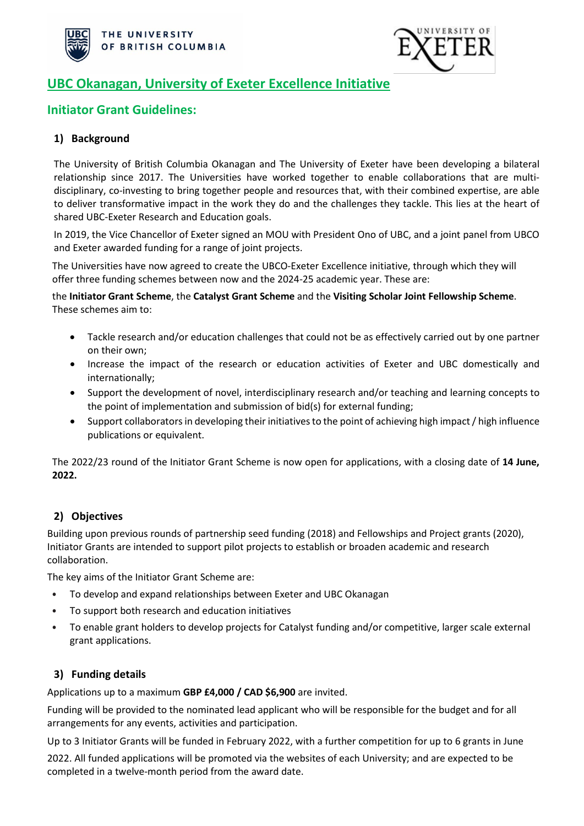



# **UBC Okanagan, University of Exeter Excellence Initiative**

## **Initiator Grant Guidelines:**

## **1) Background**

The University of British Columbia Okanagan and The University of Exeter have been developing a bilateral relationship since 2017. The Universities have worked together to enable collaborations that are multidisciplinary, co-investing to bring together people and resources that, with their combined expertise, are able to deliver transformative impact in the work they do and the challenges they tackle. This lies at the heart of shared UBC-Exeter Research and Education goals.

In 2019, the Vice Chancellor of Exeter signed an MOU with President Ono of UBC, and a joint panel from UBCO and Exeter awarded funding for a range of joint projects.

The Universities have now agreed to create the UBCO-Exeter Excellence initiative, through which they will offer three funding schemes between now and the 2024-25 academic year. These are:

the **Initiator Grant Scheme**, the **Catalyst Grant Scheme** and the **Visiting Scholar Joint Fellowship Scheme**. These schemes aim to:

- Tackle research and/or education challenges that could not be as effectively carried out by one partner on their own;
- Increase the impact of the research or education activities of Exeter and UBC domestically and internationally;
- Support the development of novel, interdisciplinary research and/or teaching and learning concepts to the point of implementation and submission of bid(s) for external funding;
- Support collaborators in developing their initiatives to the point of achieving high impact / high influence publications or equivalent.

The 2022/23 round of the Initiator Grant Scheme is now open for applications, with a closing date of **14 June, 2022.**

### **2) Objectives**

Building upon previous rounds of partnership seed funding (2018) and Fellowships and Project grants (2020), Initiator Grants are intended to support pilot projects to establish or broaden academic and research collaboration.

The key aims of the Initiator Grant Scheme are:

- To develop and expand relationships between Exeter and UBC Okanagan
- To support both research and education initiatives
- To enable grant holders to develop projects for Catalyst funding and/or competitive, larger scale external grant applications.

### **3) Funding details**

Applications up to a maximum **GBP £4,000 / CAD \$6,900** are invited.

Funding will be provided to the nominated lead applicant who will be responsible for the budget and for all arrangements for any events, activities and participation.

Up to 3 Initiator Grants will be funded in February 2022, with a further competition for up to 6 grants in June 2022. All funded applications will be promoted via the websites of each University; and are expected to be completed in a twelve-month period from the award date.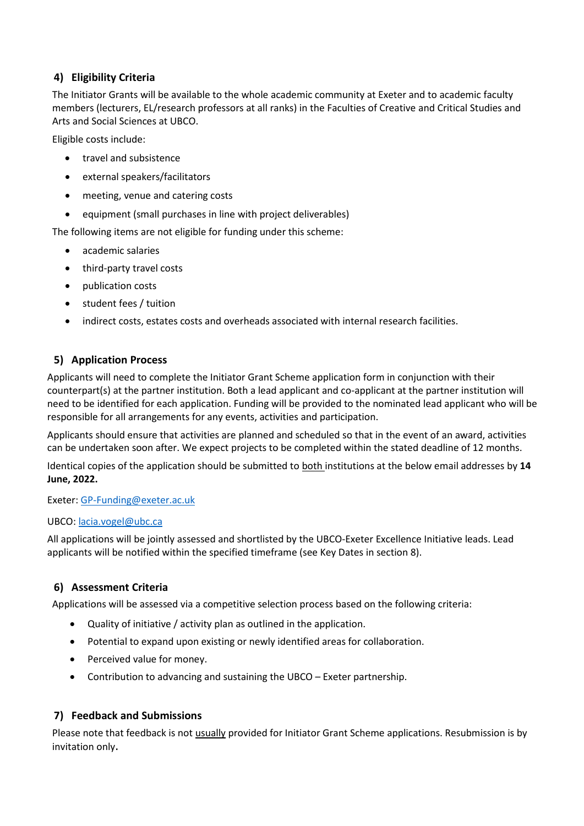## **4) Eligibility Criteria**

The Initiator Grants will be available to the whole academic community at Exeter and to academic faculty members (lecturers, EL/research professors at all ranks) in the Faculties of Creative and Critical Studies and Arts and Social Sciences at UBCO.

Eligible costs include:

- travel and subsistence
- external speakers/facilitators
- meeting, venue and catering costs
- equipment (small purchases in line with project deliverables)

The following items are not eligible for funding under this scheme:

- academic salaries
- third-party travel costs
- publication costs
- student fees / tuition
- indirect costs, estates costs and overheads associated with internal research facilities.

### **5) Application Process**

Applicants will need to complete the Initiator Grant Scheme application form in conjunction with their counterpart(s) at the partner institution. Both a lead applicant and co-applicant at the partner institution will need to be identified for each application. Funding will be provided to the nominated lead applicant who will be responsible for all arrangements for any events, activities and participation.

Applicants should ensure that activities are planned and scheduled so that in the event of an award, activities can be undertaken soon after. We expect projects to be completed within the stated deadline of 12 months.

Identical copies of the application should be submitted to both institutions at the below email addresses by **14 June, 2022.**

Exeter: [GP-Funding@exeter.ac.uk](mailto:GP-Funding@exeter.ac.uk) 

#### UBCO: [lacia.vogel@ubc.ca](mailto:lacia.vogel@ubc.ca)

All applications will be jointly assessed and shortlisted by the UBCO-Exeter Excellence Initiative leads. Lead applicants will be notified within the specified timeframe (see Key Dates in section 8).

### **6) Assessment Criteria**

Applications will be assessed via a competitive selection process based on the following criteria:

- Quality of initiative / activity plan as outlined in the application.
- Potential to expand upon existing or newly identified areas for collaboration.
- Perceived value for money.
- Contribution to advancing and sustaining the UBCO Exeter partnership.

#### **7) Feedback and Submissions**

Please note that feedback is not usually provided for Initiator Grant Scheme applications. Resubmission is by invitation only.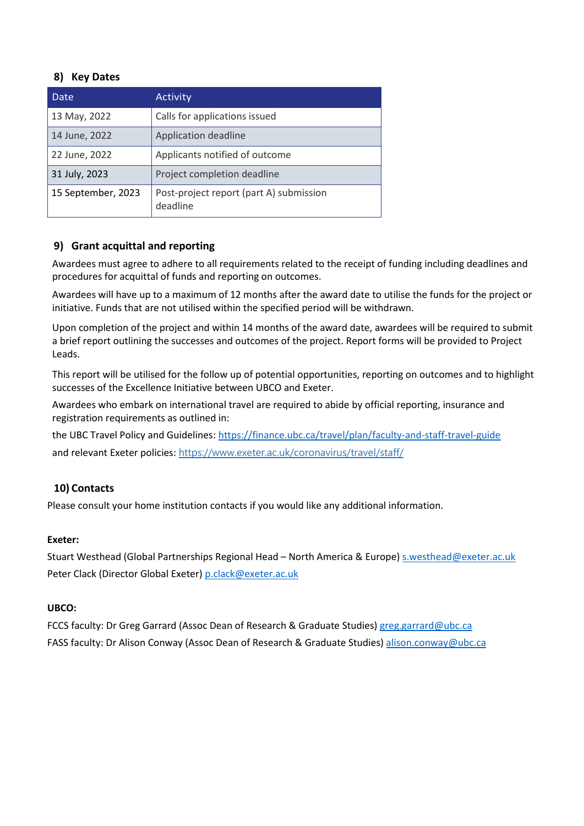### **8) Key Dates**

| Date                                                                      | Activity                       |  |
|---------------------------------------------------------------------------|--------------------------------|--|
| 13 May, 2022                                                              | Calls for applications issued  |  |
| 14 June, 2022                                                             | Application deadline           |  |
| 22 June, 2022                                                             | Applicants notified of outcome |  |
| 31 July, 2023                                                             | Project completion deadline    |  |
| 15 September, 2023<br>Post-project report (part A) submission<br>deadline |                                |  |

### **9) Grant acquittal and reporting**

Awardees must agree to adhere to all requirements related to the receipt of funding including deadlines and procedures for acquittal of funds and reporting on outcomes.

Awardees will have up to a maximum of 12 months after the award date to utilise the funds for the project or initiative. Funds that are not utilised within the specified period will be withdrawn.

Upon completion of the project and within 14 months of the award date, awardees will be required to submit a brief report outlining the successes and outcomes of the project. Report forms will be provided to Project Leads.

This report will be utilised for the follow up of potential opportunities, reporting on outcomes and to highlight successes of the Excellence Initiative between UBCO and Exeter.

Awardees who embark on international travel are required to abide by official reporting, insurance and registration requirements as outlined in:

the UBC Travel Policy and Guidelines[: https://finance.ubc.ca/travel/plan/faculty-and-staff-travel-guide](https://finance.ubc.ca/travel/plan/faculty-and-staff-travel-guide) and relevant Exeter policies: <https://www.exeter.ac.uk/coronavirus/travel/staff/>

### **10) Contacts**

Please consult your home institution contacts if you would like any additional information.

#### **Exeter:**

Stuart Westhead (Global Partnerships Regional Head – North America & Europe) [s.westhead@exeter.ac.uk](mailto:s.westhead@exeter.ac.uk)  Peter Clack (Director Global Exeter) [p.clack@exeter.ac.uk](mailto:p.clack@exeter.ac.uk) 

#### **UBCO:**

FCCS faculty: Dr Greg Garrard (Assoc Dean of Research & Graduate Studies) [greg.garrard@ubc.ca](mailto:greg.garrard@ubc.ca) FASS faculty: Dr Alison Conway (Assoc Dean of Research & Graduate Studies[\) alison.conway@ubc.ca](mailto:alison.conway@ubc.ca)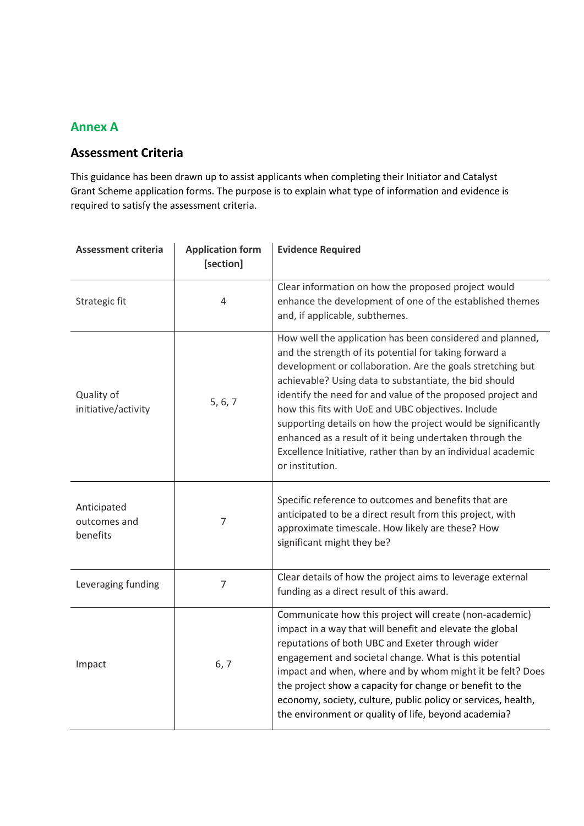# **Annex A**

## **Assessment Criteria**

This guidance has been drawn up to assist applicants when completing their Initiator and Catalyst Grant Scheme application forms. The purpose is to explain what type of information and evidence is required to satisfy the assessment criteria.

| <b>Assessment criteria</b>              | <b>Application form</b><br>[section] | <b>Evidence Required</b>                                                                                                                                                                                                                                                                                                                                                                                                                                                                                                                                                       |
|-----------------------------------------|--------------------------------------|--------------------------------------------------------------------------------------------------------------------------------------------------------------------------------------------------------------------------------------------------------------------------------------------------------------------------------------------------------------------------------------------------------------------------------------------------------------------------------------------------------------------------------------------------------------------------------|
| Strategic fit                           | 4                                    | Clear information on how the proposed project would<br>enhance the development of one of the established themes<br>and, if applicable, subthemes.                                                                                                                                                                                                                                                                                                                                                                                                                              |
| Quality of<br>initiative/activity       | 5, 6, 7                              | How well the application has been considered and planned,<br>and the strength of its potential for taking forward a<br>development or collaboration. Are the goals stretching but<br>achievable? Using data to substantiate, the bid should<br>identify the need for and value of the proposed project and<br>how this fits with UoE and UBC objectives. Include<br>supporting details on how the project would be significantly<br>enhanced as a result of it being undertaken through the<br>Excellence Initiative, rather than by an individual academic<br>or institution. |
| Anticipated<br>outcomes and<br>benefits | 7                                    | Specific reference to outcomes and benefits that are<br>anticipated to be a direct result from this project, with<br>approximate timescale. How likely are these? How<br>significant might they be?                                                                                                                                                                                                                                                                                                                                                                            |
| Leveraging funding                      | $\overline{7}$                       | Clear details of how the project aims to leverage external<br>funding as a direct result of this award.                                                                                                                                                                                                                                                                                                                                                                                                                                                                        |
| Impact                                  | 6, 7                                 | Communicate how this project will create (non-academic)<br>impact in a way that will benefit and elevate the global<br>reputations of both UBC and Exeter through wider<br>engagement and societal change. What is this potential<br>impact and when, where and by whom might it be felt? Does<br>the project show a capacity for change or benefit to the<br>economy, society, culture, public policy or services, health,<br>the environment or quality of life, beyond academia?                                                                                            |